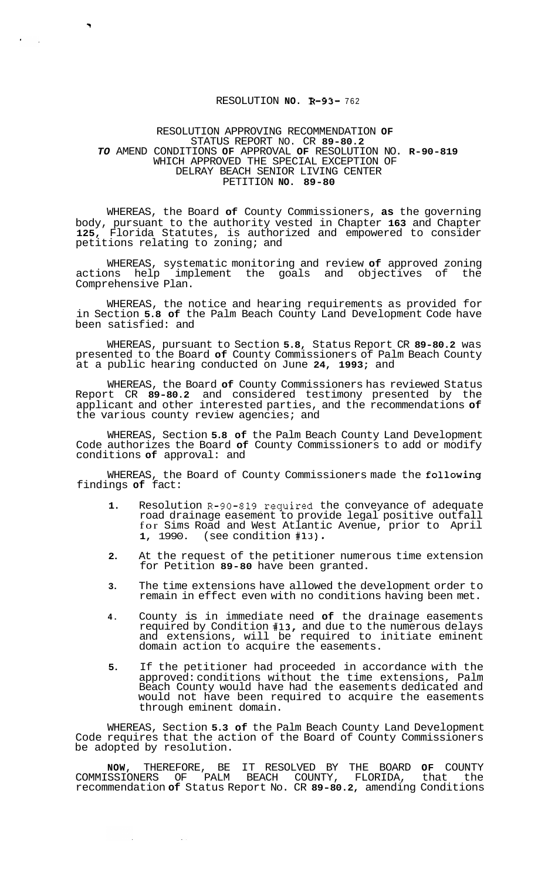## RESOLUTION **NO. R-93-** <sup>762</sup>

## RESOLUTION APPROVING RECOMMENDATION **OF**  STATUS REPORT NO. CR **89-80.2**  *TO* AMEND CONDITIONS **OF** APPROVAL **OF** RESOLUTION NO. **R-90-819**  WHICH APPROVED THE SPECIAL EXCEPTION OF DELRAY BEACH SENIOR LIVING CENTER PETITION **NO. 89-80**

WHEREAS, the Board **of** County Commissioners, **as** the governing body, pursuant to the authority vested in Chapter **163** and Chapter **125,** Florida Statutes, is authorized and empowered to consider petitions relating to zoning; and

WHEREAS, systematic monitoring and review **of** approved zoning actions help implement the goals and objectives of Comprehensive Plan.

WHEREAS, the notice and hearing requirements as provided for in Section **5.8 of** the Palm Beach County Land Development Code have been satisfied: and

WHEREAS, pursuant to Section **5.8,** Status Report CR **89-80.2** was presented to the Board **of** County Commissioners of Palm Beach County at a public hearing conducted on June **24, 1993;** and

WHEREAS, the Board **of** County Commissioners has reviewed Status Report CR **89-80.2** and considered testimony presented by the applicant and other interested parties, and the recommendations **of**  the various county review agencies; and

WHEREAS, Section **5.8 of** the Palm Beach County Land Development Code authorizes the Board **of** County Commissioners to add or modify conditions **of** approval: and

WHEREAS, the Board of County Commissioners made the following findings **of** fact:

- **1.**  Resolution R-90-819,required the conveyance of adequate road drainage easement to provide legal positive outfall for Sims Road and West Atlantic Avenue, prior to April 1, 1990. (see condition #13). **1,** 1990. (see condition **#13).**
- **2.**  At the request of the petitioner numerous time extension for Petition **89-80** have been granted.
- **3.**  The time extensions have allowed the development order to remain in effect even with no conditions having been met.
- **4.**  County is in immediate need **of** the drainage easements required by Condition **#13,** and due to the numerous delays and extensions, will be required to initiate eminent domain action to acquire the easements.
- **5.**  If the petitioner had proceeded in accordance with the approved: conditions without the time extensions, Palm Beach County would have had the easements dedicated and would not have been required to acquire the easements through eminent domain.

WHEREAS, Section **5.3 of** the Palm Beach County Land Development Code requires that the action of the Board of County Commissioners be adopted by resolution.

**NOW,** THEREFORE, BE IT RESOLVED BY THE BOARD **OF** COUNTY COMMISSIONERS OF PALM BEACH COUNTY, FLORIDA, that the recommendation **of** Status Report No. CR **89-80.2,** amending Conditions

 $\sim 100$ 

 $\mathcal{L}^{\pm}$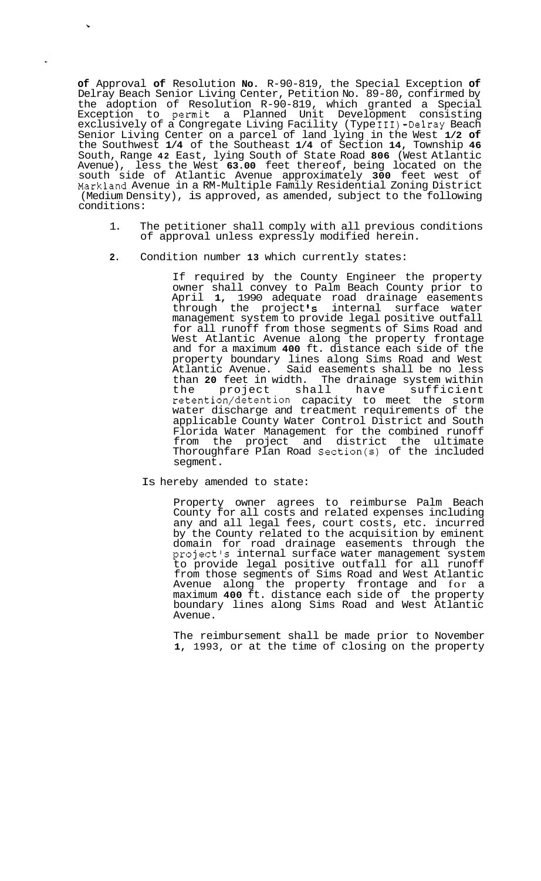**of** Approval **of** Resolution **No.** R-90-819, the Special Exception **of**  Delray Beach Senior Living Center, Petition No. 89-80, confirmed by the adoption of Resolution R-90-819, which granted a Special Exception to permit a Planned Unit Development consisting exclusively of a Congregate Living Facility (Type 111)-Delray Beach Senior Living Center on a parcel of land lying in the West **1/2 of**  the Southwest **1/4** of the Southeast **1/4** of Section **14,** Township **46**  South, Range **42** East, lying South of State Road **806** (West Atlantic Avenue), less the West **63.00** feet thereof, being located on the south side of Atlantic Avenue approximately **300** feet west of Markland Avenue in a RM-Multiple Family Residential Zoning District (Medium Density), is approved, as amended, subject to the following conditions:

- 1. The petitioner shall comply with all previous conditions of approval unless expressly modified herein.
- **2.** Condition number **13** which currently states:

**F** 

If required by the County Engineer the property owner shall convey to Palm Beach County prior to April **1,** 1990 adequate road drainage easements through the project **Is** internal surface water management system to provide legal positive outfall for all runoff from those segments of Sims Road and West Atlantic Avenue along the property frontage and for a maximum **400** ft. distance each side of the property boundary lines along Sims Road and West Atlantic Avenue. Said easements shall be no less than **20** feet in width. The drainage system within the project shall have sufficient retention/detention capacity to meet the storm water discharge and treatment requirements of the applicable County Water Control District and South Florida Water Management for the combined runoff from the project and district the ultimate Thoroughfare Plan Road Section(s) of the included segment.

Is hereby amended to state:

Property owner agrees to reimburse Palm Beach County for all costs and related expenses including any and all legal fees, court costs, etc. incurred by the County related to the acquisition by eminent domain for road drainage easements through the project's internal surface water management system to provide legal positive outfall for all runoff from those segments of Sims Road and West Atlantic Avenue along the property frontage and for a maximum **400** ft. distance each side of the property boundary lines along Sims Road and West Atlantic Avenue.

The reimbursement shall be made prior to November **1,** 1993, or at the time of closing on the property